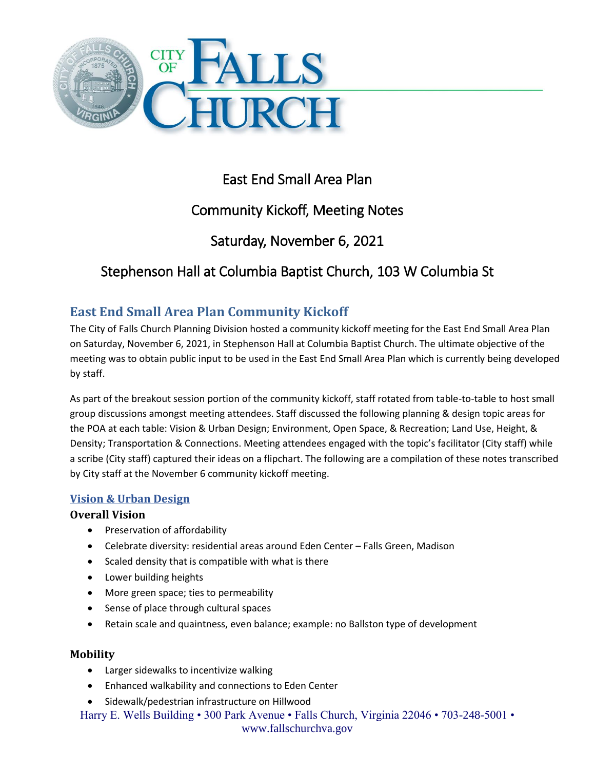

# East End Small Area Plan

# Community Kickoff, Meeting Notes

# Saturday, November 6, 2021

# Stephenson Hall at Columbia Baptist Church, 103 W Columbia St

# **East End Small Area Plan Community Kickoff**

The City of Falls Church Planning Division hosted a community kickoff meeting for the East End Small Area Plan on Saturday, November 6, 2021, in Stephenson Hall at Columbia Baptist Church. The ultimate objective of the meeting was to obtain public input to be used in the East End Small Area Plan which is currently being developed by staff.

As part of the breakout session portion of the community kickoff, staff rotated from table-to-table to host small group discussions amongst meeting attendees. Staff discussed the following planning & design topic areas for the POA at each table: Vision & Urban Design; Environment, Open Space, & Recreation; Land Use, Height, & Density; Transportation & Connections. Meeting attendees engaged with the topic's facilitator (City staff) while a scribe (City staff) captured their ideas on a flipchart. The following are a compilation of these notes transcribed by City staff at the November 6 community kickoff meeting.

# **Vision & Urban Design**

# **Overall Vision**

- Preservation of affordability
- Celebrate diversity: residential areas around Eden Center Falls Green, Madison
- Scaled density that is compatible with what is there
- Lower building heights
- More green space; ties to permeability
- Sense of place through cultural spaces
- Retain scale and quaintness, even balance; example: no Ballston type of development

# **Mobility**

- Larger sidewalks to incentivize walking
- Enhanced walkability and connections to Eden Center
- Sidewalk/pedestrian infrastructure on Hillwood

Harry E. Wells Building • 300 Park Avenue • Falls Church, Virginia 22046 • 703-248-5001 • www.fallschurchva.gov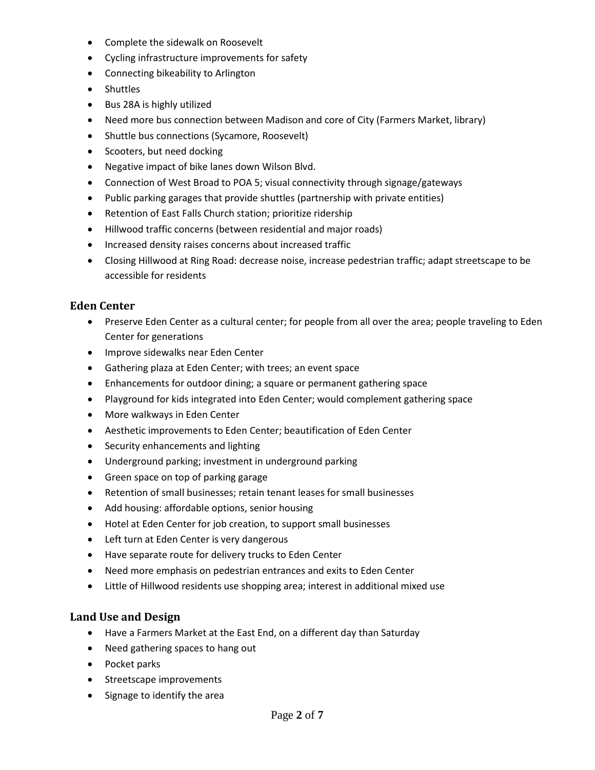- Complete the sidewalk on Roosevelt
- Cycling infrastructure improvements for safety
- Connecting bikeability to Arlington
- Shuttles
- Bus 28A is highly utilized
- Need more bus connection between Madison and core of City (Farmers Market, library)
- Shuttle bus connections (Sycamore, Roosevelt)
- Scooters, but need docking
- Negative impact of bike lanes down Wilson Blvd.
- Connection of West Broad to POA 5; visual connectivity through signage/gateways
- Public parking garages that provide shuttles (partnership with private entities)
- Retention of East Falls Church station; prioritize ridership
- Hillwood traffic concerns (between residential and major roads)
- Increased density raises concerns about increased traffic
- Closing Hillwood at Ring Road: decrease noise, increase pedestrian traffic; adapt streetscape to be accessible for residents

### **Eden Center**

- Preserve Eden Center as a cultural center; for people from all over the area; people traveling to Eden Center for generations
- **•** Improve sidewalks near Eden Center
- Gathering plaza at Eden Center; with trees; an event space
- Enhancements for outdoor dining; a square or permanent gathering space
- Playground for kids integrated into Eden Center; would complement gathering space
- More walkways in Eden Center
- Aesthetic improvements to Eden Center; beautification of Eden Center
- Security enhancements and lighting
- Underground parking; investment in underground parking
- Green space on top of parking garage
- Retention of small businesses; retain tenant leases for small businesses
- Add housing: affordable options, senior housing
- Hotel at Eden Center for job creation, to support small businesses
- Left turn at Eden Center is very dangerous
- Have separate route for delivery trucks to Eden Center
- Need more emphasis on pedestrian entrances and exits to Eden Center
- Little of Hillwood residents use shopping area; interest in additional mixed use

## **Land Use and Design**

- Have a Farmers Market at the East End, on a different day than Saturday
- Need gathering spaces to hang out
- Pocket parks
- Streetscape improvements
- Signage to identify the area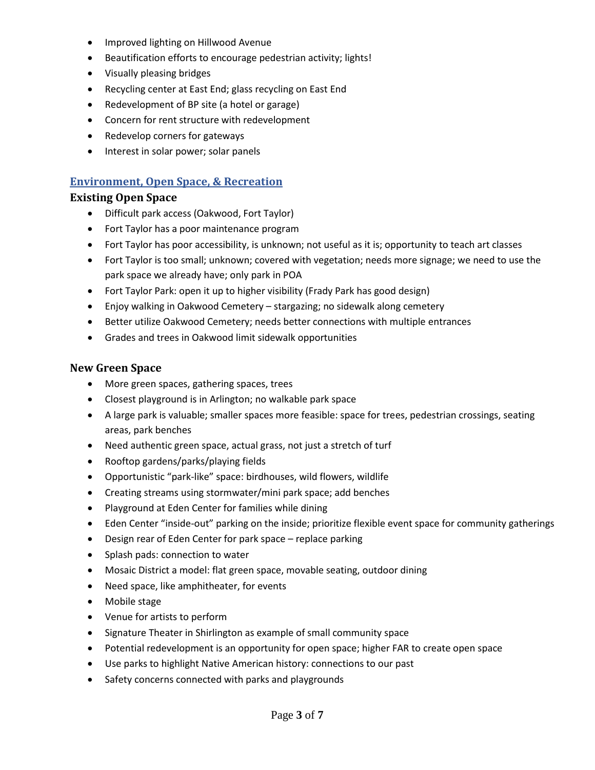- **•** Improved lighting on Hillwood Avenue
- Beautification efforts to encourage pedestrian activity; lights!
- Visually pleasing bridges
- Recycling center at East End; glass recycling on East End
- Redevelopment of BP site (a hotel or garage)
- Concern for rent structure with redevelopment
- Redevelop corners for gateways
- Interest in solar power; solar panels

#### **Environment, Open Space, & Recreation**

#### **Existing Open Space**

- Difficult park access (Oakwood, Fort Taylor)
- Fort Taylor has a poor maintenance program
- Fort Taylor has poor accessibility, is unknown; not useful as it is; opportunity to teach art classes
- Fort Taylor is too small; unknown; covered with vegetation; needs more signage; we need to use the park space we already have; only park in POA
- Fort Taylor Park: open it up to higher visibility (Frady Park has good design)
- Enjoy walking in Oakwood Cemetery stargazing; no sidewalk along cemetery
- Better utilize Oakwood Cemetery; needs better connections with multiple entrances
- Grades and trees in Oakwood limit sidewalk opportunities

#### **New Green Space**

- More green spaces, gathering spaces, trees
- Closest playground is in Arlington; no walkable park space
- A large park is valuable; smaller spaces more feasible: space for trees, pedestrian crossings, seating areas, park benches
- Need authentic green space, actual grass, not just a stretch of turf
- Rooftop gardens/parks/playing fields
- Opportunistic "park-like" space: birdhouses, wild flowers, wildlife
- Creating streams using stormwater/mini park space; add benches
- Playground at Eden Center for families while dining
- Eden Center "inside-out" parking on the inside; prioritize flexible event space for community gatherings
- Design rear of Eden Center for park space replace parking
- Splash pads: connection to water
- Mosaic District a model: flat green space, movable seating, outdoor dining
- Need space, like amphitheater, for events
- Mobile stage
- Venue for artists to perform
- Signature Theater in Shirlington as example of small community space
- Potential redevelopment is an opportunity for open space; higher FAR to create open space
- Use parks to highlight Native American history: connections to our past
- Safety concerns connected with parks and playgrounds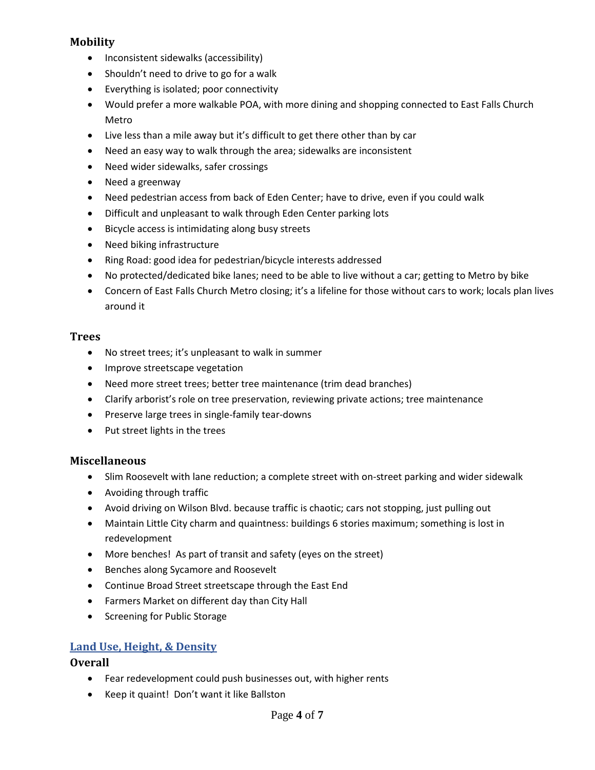## **Mobility**

- Inconsistent sidewalks (accessibility)
- Shouldn't need to drive to go for a walk
- Everything is isolated; poor connectivity
- Would prefer a more walkable POA, with more dining and shopping connected to East Falls Church Metro
- Live less than a mile away but it's difficult to get there other than by car
- Need an easy way to walk through the area; sidewalks are inconsistent
- Need wider sidewalks, safer crossings
- Need a greenway
- Need pedestrian access from back of Eden Center; have to drive, even if you could walk
- Difficult and unpleasant to walk through Eden Center parking lots
- Bicycle access is intimidating along busy streets
- Need biking infrastructure
- Ring Road: good idea for pedestrian/bicycle interests addressed
- No protected/dedicated bike lanes; need to be able to live without a car; getting to Metro by bike
- Concern of East Falls Church Metro closing; it's a lifeline for those without cars to work; locals plan lives around it

## **Trees**

- No street trees; it's unpleasant to walk in summer
- Improve streetscape vegetation
- Need more street trees; better tree maintenance (trim dead branches)
- Clarify arborist's role on tree preservation, reviewing private actions; tree maintenance
- Preserve large trees in single-family tear-downs
- Put street lights in the trees

# **Miscellaneous**

- Slim Roosevelt with lane reduction; a complete street with on-street parking and wider sidewalk
- Avoiding through traffic
- Avoid driving on Wilson Blvd. because traffic is chaotic; cars not stopping, just pulling out
- Maintain Little City charm and quaintness: buildings 6 stories maximum; something is lost in redevelopment
- More benches! As part of transit and safety (eyes on the street)
- **Benches along Sycamore and Roosevelt**
- Continue Broad Street streetscape through the East End
- Farmers Market on different day than City Hall
- Screening for Public Storage

# **Land Use, Height, & Density**

## **Overall**

- Fear redevelopment could push businesses out, with higher rents
- Keep it quaint! Don't want it like Ballston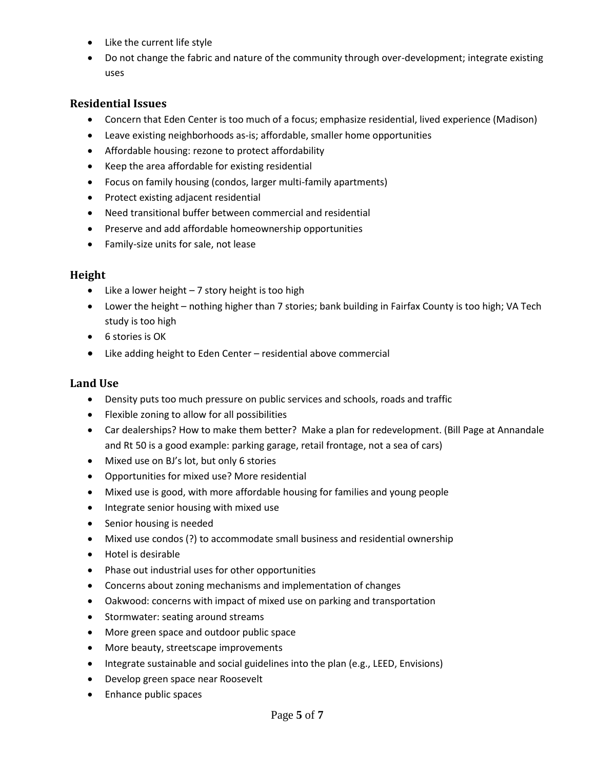- Like the current life style
- Do not change the fabric and nature of the community through over-development; integrate existing uses

### **Residential Issues**

- Concern that Eden Center is too much of a focus; emphasize residential, lived experience (Madison)
- Leave existing neighborhoods as-is; affordable, smaller home opportunities
- Affordable housing: rezone to protect affordability
- Keep the area affordable for existing residential
- Focus on family housing (condos, larger multi-family apartments)
- Protect existing adjacent residential
- Need transitional buffer between commercial and residential
- Preserve and add affordable homeownership opportunities
- Family-size units for sale, not lease

#### **Height**

- $\bullet$  Like a lower height  $-7$  story height is too high
- Lower the height nothing higher than 7 stories; bank building in Fairfax County is too high; VA Tech study is too high
- 6 stories is OK
- Like adding height to Eden Center residential above commercial

### **Land Use**

- Density puts too much pressure on public services and schools, roads and traffic
- Flexible zoning to allow for all possibilities
- Car dealerships? How to make them better? Make a plan for redevelopment. (Bill Page at Annandale and Rt 50 is a good example: parking garage, retail frontage, not a sea of cars)
- Mixed use on BJ's lot, but only 6 stories
- Opportunities for mixed use? More residential
- Mixed use is good, with more affordable housing for families and young people
- Integrate senior housing with mixed use
- Senior housing is needed
- Mixed use condos (?) to accommodate small business and residential ownership
- Hotel is desirable
- Phase out industrial uses for other opportunities
- Concerns about zoning mechanisms and implementation of changes
- Oakwood: concerns with impact of mixed use on parking and transportation
- Stormwater: seating around streams
- More green space and outdoor public space
- More beauty, streetscape improvements
- Integrate sustainable and social guidelines into the plan (e.g., LEED, Envisions)
- Develop green space near Roosevelt
- Enhance public spaces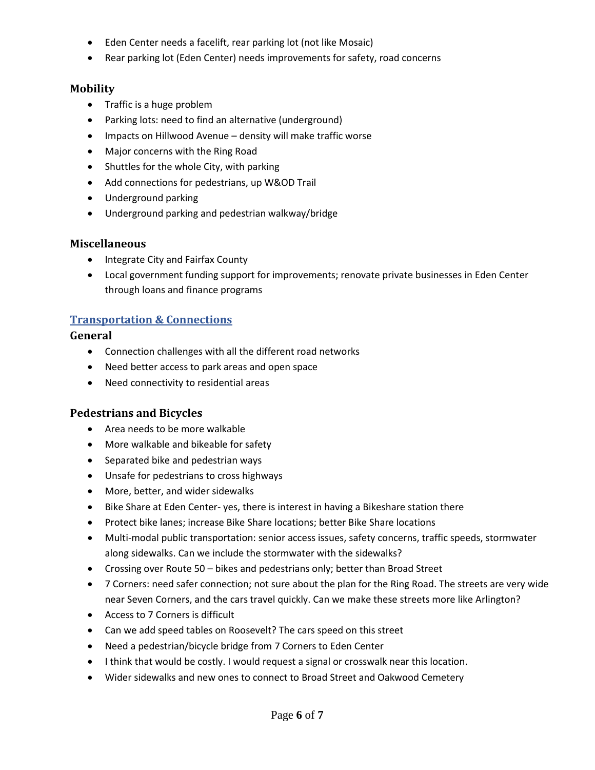- Eden Center needs a facelift, rear parking lot (not like Mosaic)
- Rear parking lot (Eden Center) needs improvements for safety, road concerns

## **Mobility**

- Traffic is a huge problem
- Parking lots: need to find an alternative (underground)
- Impacts on Hillwood Avenue density will make traffic worse
- Major concerns with the Ring Road
- Shuttles for the whole City, with parking
- Add connections for pedestrians, up W&OD Trail
- Underground parking
- Underground parking and pedestrian walkway/bridge

### **Miscellaneous**

- Integrate City and Fairfax County
- Local government funding support for improvements; renovate private businesses in Eden Center through loans and finance programs

## **Transportation & Connections**

#### **General**

- Connection challenges with all the different road networks
- Need better access to park areas and open space
- Need connectivity to residential areas

## **Pedestrians and Bicycles**

- Area needs to be more walkable
- More walkable and bikeable for safety
- Separated bike and pedestrian ways
- Unsafe for pedestrians to cross highways
- More, better, and wider sidewalks
- Bike Share at Eden Center- yes, there is interest in having a Bikeshare station there
- Protect bike lanes; increase Bike Share locations; better Bike Share locations
- Multi-modal public transportation: senior access issues, safety concerns, traffic speeds, stormwater along sidewalks. Can we include the stormwater with the sidewalks?
- Crossing over Route 50 bikes and pedestrians only; better than Broad Street
- 7 Corners: need safer connection; not sure about the plan for the Ring Road. The streets are very wide near Seven Corners, and the cars travel quickly. Can we make these streets more like Arlington?
- Access to 7 Corners is difficult
- Can we add speed tables on Roosevelt? The cars speed on this street
- Need a pedestrian/bicycle bridge from 7 Corners to Eden Center
- I think that would be costly. I would request a signal or crosswalk near this location.
- Wider sidewalks and new ones to connect to Broad Street and Oakwood Cemetery